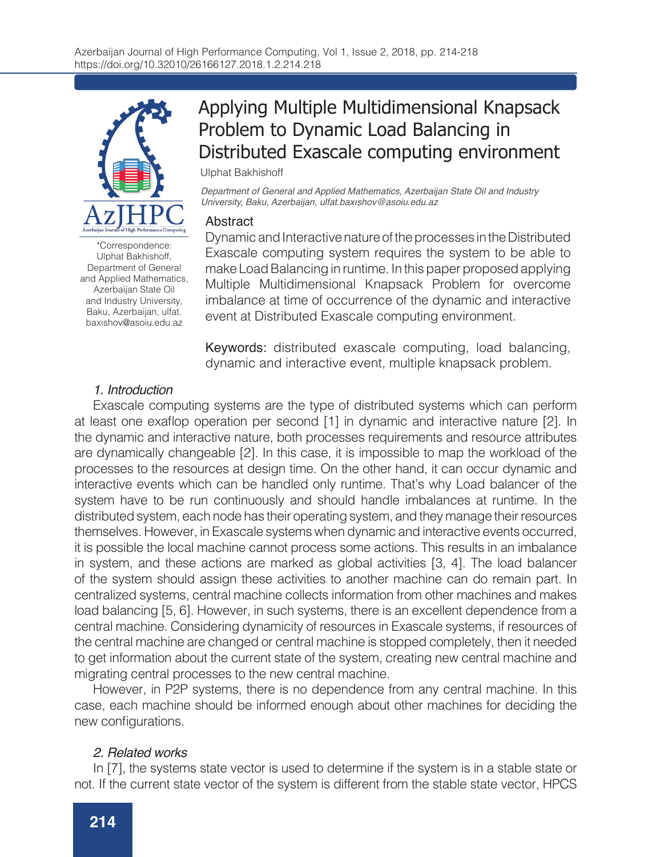

\*Correspondence: Ulphat Bakhishoff, Department of General and Applied Mathematics, Azerbaijan State Oil and Industry University, Baku, Azerbaijan, ulfat. baxıshov@asoiu.edu.az

# Applying Multiple Multidimensional Knapsack Problem to Dynamic Load Balancing in Distributed Exascale computing environment

Ulphat Bakhishoff

*Department of General and Applied Mathematics, Azerbaijan State Oil and Industry*  University, Baku, Azerbaijan, ulfat.baxıshov@asoiu.edu.az

# Abstract

Dynamic and Interactive nature of the processes in the Distributed Exascale computing system requires the system to be able to make Load Balancing in runtime. In this paper proposed applying Multiple Multidimensional Knapsack Problem for overcome imbalance at time of occurrence of the dynamic and interactive event at Distributed Exascale computing environment.

Keywords: distributed exascale computing, load balancing, dynamic and interactive event, multiple knapsack problem.

# *1. Introduction*

Exascale computing systems are the type of distributed systems which can perform at least one exaflop operation per second [1] in dynamic and interactive nature [2]. In the dynamic and interactive nature, both processes requirements and resource attributes are dynamically changeable [2]. In this case, it is impossible to map the workload of the processes to the resources at design time. On the other hand, it can occur dynamic and interactive events which can be handled only runtime. That's why Load balancer of the system have to be run continuously and should handle imbalances at runtime. In the distributed system, each node has their operating system, and they manage their resources themselves. However, in Exascale systems when dynamic and interactive events occurred, it is possible the local machine cannot process some actions. This results in an imbalance in system, and these actions are marked as global activities [3, 4]. The load balancer of the system should assign these activities to another machine can do remain part. In centralized systems, central machine collects information from other machines and makes load balancing [5, 6]. However, in such systems, there is an excellent dependence from a central machine. Considering dynamicity of resources in Exascale systems, if resources of the central machine are changed or central machine is stopped completely, then it needed to get information about the current state of the system, creating new central machine and migrating central processes to the new central machine.

However, in P2P systems, there is no dependence from any central machine. In this case, each machine should be informed enough about other machines for deciding the new configurations.

# *2. Related works*

In [7], the systems state vector is used to determine if the system is in a stable state or not. If the current state vector of the system is different from the stable state vector, HPCS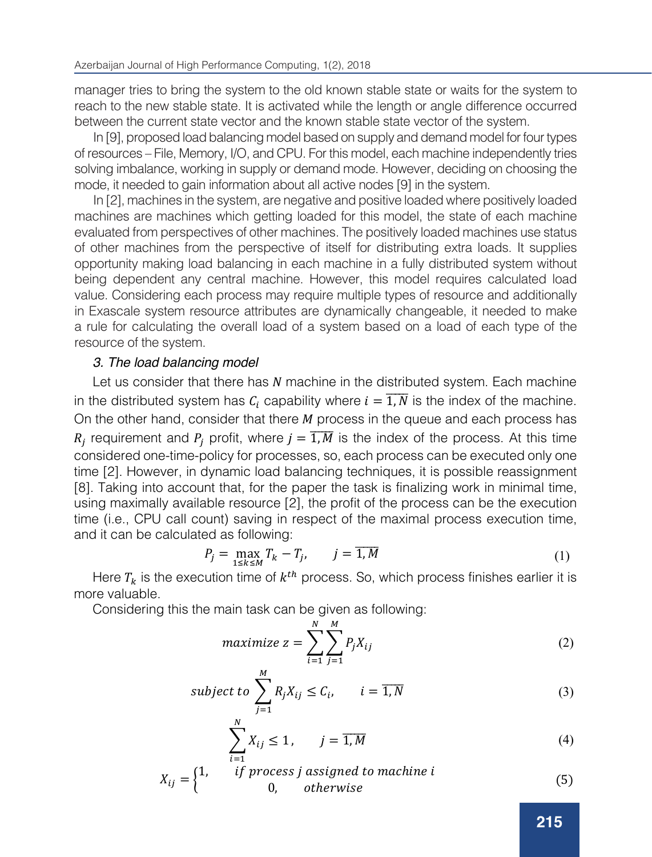manager tries to bring the system to the old known stable state or waits for the system to reach to the new stable state. It is activated while the length or angle difference occurred between the current state vector and the known stable state vector of the system.

In [9], proposed load balancing model based on supply and demand model for four types of resources – File, Memory, I/O, and CPU. For this model, each machine independently tries solving imbalance, working in supply or demand mode. However, deciding on choosing the mode, it needed to gain information about all active nodes [9] in the system.

In [2], machines in the system, are negative and positive loaded where positively loaded machines are machines which getting loaded for this model, the state of each machine evaluated from perspectives of other machines. The positively loaded machines use status of other machines from the perspective of itself for distributing extra loads. It supplies opportunity making load balancing in each machine in a fully distributed system without being dependent any central machine. However, this model requires calculated load value. Considering each process may require multiple types of resource and additionally in Exascale system resource attributes are dynamically changeable, it needed to make a rule for calculating the overall load of a system based on a load of each type of the resource of the system.

# *3. The load balancing model*

Let us consider that there has N machine in the distributed system. Each machine in the distributed system has  $C_i$  capability where  $i = \overline{1,N}$  is the index of the machine. On the other hand, consider that there  $M$  process in the queue and each process has  $R_j$  requirement and  $P_j$  profit, where  $j = \overline{1,M}$  is the index of the process. At this time considered one-time-policy for processes, so, each process can be executed only one time [2]. However, in dynamic load balancing techniques, it is possible reassignment [8]. Taking into account that, for the paper the task is finalizing work in minimal time, using maximally available resource [2], the profit of the process can be the execution time (i.e., CPU call count) saving in respect of the maximal process execution time, and it can be calculated as following:

$$
P_j = \max_{1 \le k \le M} T_k - T_j, \qquad j = \overline{1, M} \tag{1}
$$

Here  $T_k$  is the execution time of  $k^{th}$  process. So, which process finishes earlier it is more valuable.

this process to assign processes to resources. The task is the Dynamic Programming problem named 0-1 Multiple Knapsack Problem (0-1MKP) [9]. There are several

Considering this the main task can be given as following:

$$
maximize \ z = \sum_{i=1}^{N} \sum_{j=1}^{M} P_j X_{ij}
$$
 (2)

subject to 
$$
\sum_{j=1}^{M} R_j X_{ij} \le C_i, \qquad i = \overline{1, N}
$$
 (3)

$$
\sum_{i=1}^{N} X_{ij} \le 1, \qquad j = \overline{1,M} \tag{4}
$$

$$
X_{ij} = \begin{cases} 1, & if process j assigned to machine i \\ & 0, & otherwise \end{cases}
$$
 (5)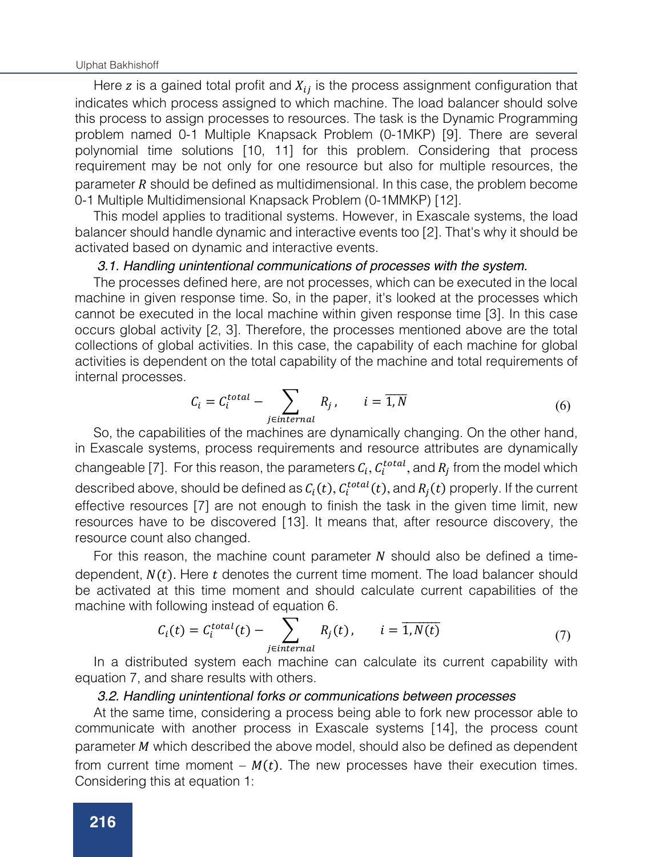#### Ulphat Bakhishoff

Here z is a gained total profit and  $X_{ij}$  is the process assignment configuration that indicates which process assigned to which machine. The load balancer should solve this process to assign processes to resources. The task is the Dynamic Programming problem named 0-1 Multiple Knapsack Problem (0-1MKP) [9]. There are several polynomial time solutions [10, 11] for this problem. Considering that process requirement may be not only for one resource but also for multiple resources, the parameter  *should be defined as multidimensional. In this case, the problem become* 0-1 Multiple Multidimensional Knapsack Problem (0-1MMKP) [12].

This model applies to traditional systems. However, in Exascale systems, the load balancer should handle dynamic and interactive events too [2]. That's why it should be activated based on dynamic and interactive events.

#### *3.1. Handling unintentional communications of processes with the system.*

The processes defined here, are not processes, which can be executed in the local machine in given response time. So, in the paper, it's looked at the processes which cannot be executed in the local machine within given response time [3]. In this case occurs global activity [2, 3]. Therefore, the processes mentioned above are the total collections of global activities. In this case, the capability of each machine for global activities is dependent on the total capability of the machine and total requirements of internal processes.

$$
C_i = C_i^{total} - \sum_{j \in internal} R_j, \qquad i = \overline{1, N}
$$
 (6)

 $\mathcal{O}(\mathcal{O}_\mathcal{O})$  ,  $\mathcal{O}(\mathcal{O}_\mathcal{O})$  ,  $\mathcal{O}(\mathcal{O}_\mathcal{O})$  ,  $\mathcal{O}(\mathcal{O}_\mathcal{O})$  ,  $\mathcal{O}(\mathcal{O}_\mathcal{O})$ 

So, the capabilities of the machines are dynamically changing. On the other hand, in Exascale systems, process requirements and resource attributes are dynamically changeable [7]. For this reason, the parameters  $C_i, C_i^{total}$ , and  $R_j$  from the model which described above, should be defined as  $c_i(t)$ ,  $c_i^{total}(t)$ , and  $R_j(t)$  properly. If the current effective resources [7] are not enough to finish the task in the given time limit, new resources have to be discovered [13]. It means that, after resource discovery, the resource count also changed.

For this reason, the machine count parameter  $N$  should also be defined a timedependent,  $N(t)$ . Here t denotes the current time moment. The load balancer should be activated at this time moment and should calculate current capabilities of the machine with following instead of equation 6.

$$
C_i(t) = C_i^{total}(t) - \sum_{j \in internal} R_j(t), \qquad i = \overline{1, N(t)}
$$
(7)

In a distributed system each machine can calculate its current capability with equation 7, and share results with others.

### *3.2. Handling unintentional forks or communications between processes*

*3.3. 0-1Multiple knapsack model for Exascale system.*

At the same time, considering a process being able to fork new processor able to communicate with another process in Exascale systems [14], the process count parameter  *which described the above model, should also be defined as dependent* from current time moment –  $M(t)$ . The new processes have their execution times. Considering this at equation 1: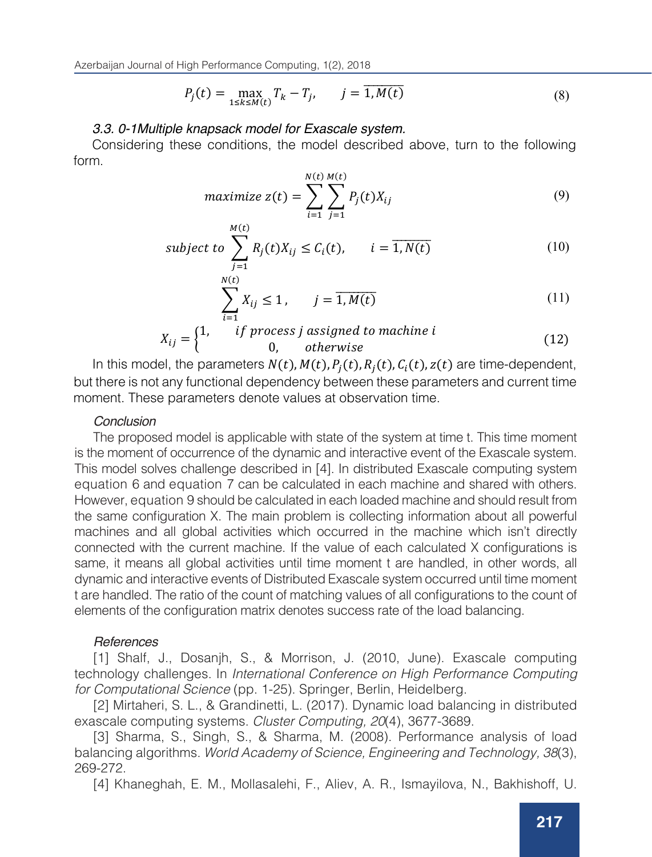$$
P_j(t) = \max_{1 \le k \le M(t)} T_k - T_j, \qquad j = \overline{1, M(t)}
$$
\n(8)

#### *3.3. 0-1Multiple knapsack model for Exascale system.*

Considering these conditions, the model described above, turn to the following form.

maximize 
$$
z(t) = \sum_{i=1}^{N(t)} \sum_{j=1}^{M(t)} P_j(t) X_{ij}
$$
 (9)

subject to 
$$
\sum_{j=1}^{M(t)} R_j(t)X_{ij} \le C_i(t), \qquad i = \overline{1, N(t)}
$$
 (10)

$$
\sum_{i=1}^{N(t)} X_{ij} \le 1, \qquad j = \overline{1, M(t)}
$$
 (11)

$$
X_{ij} = \begin{cases} 1, & \text{if process } j \text{ assigned to machine } i \\ 0, & \text{otherwise} \end{cases} \tag{12}
$$

In this model, the parameters  $N(t)$ ,  $M(t)$ ,  $P_i(t)$ ,  $R_i(t)$ ,  $C_i(t)$ ,  $z(t)$  are time-dependent, but there is not any functional dependency between these parameters and current time moment. These parameters denote values at observation time.

# *Conclusion*

The proposed model is applicable with state of the system at time t. This time moment is the moment of occurrence of the dynamic and interactive event of the Exascale system. This model solves challenge described in [4]. In distributed Exascale computing system equation 6 and equation 7 can be calculated in each machine and shared with others. However, equation 9 should be calculated in each loaded machine and should result from the same configuration X. The main problem is collecting information about all powerful machines and all global activities which occurred in the machine which isn't directly connected with the current machine. If the value of each calculated X configurations is same, it means all global activities until time moment t are handled, in other words, all dynamic and interactive events of Distributed Exascale system occurred until time moment t are handled. The ratio of the count of matching values of all configurations to the count of elements of the configuration matrix denotes success rate of the load balancing.

#### *References*

[1] Shalf, J., Dosanjh, S., & Morrison, J. (2010, June). Exascale computing technology challenges. In *International Conference on High Performance Computing for Computational Science* (pp. 1-25). Springer, Berlin, Heidelberg.

[2] Mirtaheri, S. L., & Grandinetti, L. (2017). Dynamic load balancing in distributed exascale computing systems. *Cluster Computing, 20*(4), 3677-3689.

[3] Sharma, S., Singh, S., & Sharma, M. (2008). Performance analysis of load balancing algorithms. *World Academy of Science, Engineering and Technology, 38*(3), 269-272.

[4] Khaneghah, E. M., Mollasalehi, F., Aliev, A. R., Ismayilova, N., Bakhishoff, U.